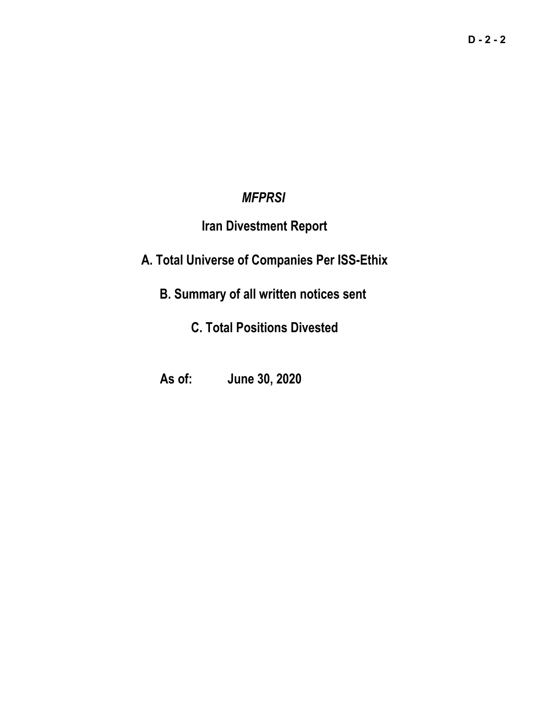# *MFPRSI*

# **Iran Divestment Report**

# **A. Total Universe of Companies Per ISS-Ethix**

# **B. Summary of all written notices sent**

# **C. Total Positions Divested**

# **As of: June 30, 2020**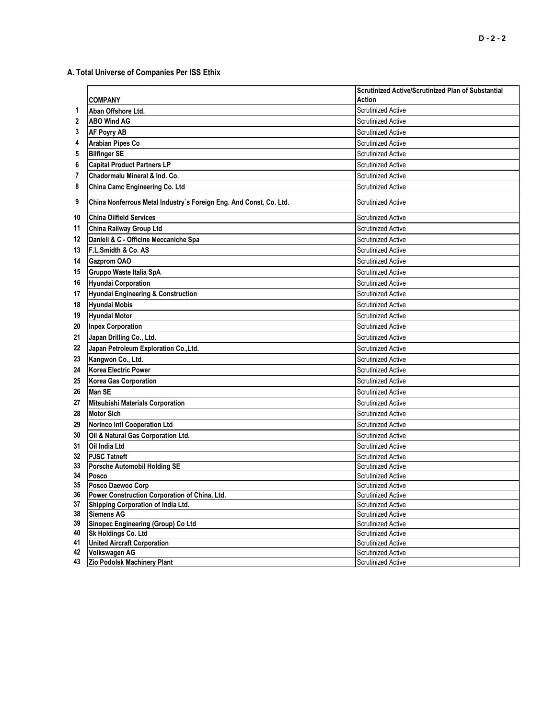# **A. Total Universe of Companies Per ISS Ethix**

|          |                                                                    | <b>Scrutinized Active/Scrutinized Plan of Substantial</b> |
|----------|--------------------------------------------------------------------|-----------------------------------------------------------|
|          | <b>COMPANY</b>                                                     | Action                                                    |
| 1        | Aban Offshore Ltd.                                                 | <b>Scrutinized Active</b>                                 |
| 2        | <b>ABO Wind AG</b>                                                 | <b>Scrutinized Active</b>                                 |
| 3        | <b>AF Poyry AB</b>                                                 | <b>Scrutinized Active</b>                                 |
| 4        | <b>Arabian Pipes Co</b>                                            | <b>Scrutinized Active</b>                                 |
| 5        | <b>Bilfinger SE</b>                                                | <b>Scrutinized Active</b>                                 |
| 6        | <b>Capital Product Partners LP</b>                                 | <b>Scrutinized Active</b>                                 |
| 7        | Chadormalu Mineral & Ind. Co.                                      | <b>Scrutinized Active</b>                                 |
| 8        | China Camc Engineering Co. Ltd                                     | <b>Scrutinized Active</b>                                 |
| 9        | China Nonferrous Metal Industry's Foreign Eng. And Const. Co. Ltd. | <b>Scrutinized Active</b>                                 |
| 10       | <b>China Oilfield Services</b>                                     | <b>Scrutinized Active</b>                                 |
| 11       | China Railway Group Ltd                                            | <b>Scrutinized Active</b>                                 |
| 12       | Danieli & C - Officine Meccaniche Spa                              | <b>Scrutinized Active</b>                                 |
| 13       | F.L.Smidth & Co. AS                                                | <b>Scrutinized Active</b>                                 |
| 14       | <b>Gazprom OAO</b>                                                 | <b>Scrutinized Active</b>                                 |
| 15       | Gruppo Waste Italia SpA                                            | <b>Scrutinized Active</b>                                 |
| 16       | <b>Hyundai Corporation</b>                                         | <b>Scrutinized Active</b>                                 |
| 17       | <b>Hyundai Engineering &amp; Construction</b>                      | <b>Scrutinized Active</b>                                 |
| 18       | Hyundai Mobis                                                      | <b>Scrutinized Active</b>                                 |
| 19       | Hyundai Motor                                                      | <b>Scrutinized Active</b>                                 |
| 20       | <b>Inpex Corporation</b>                                           | <b>Scrutinized Active</b>                                 |
| 21       | Japan Drilling Co., Ltd.                                           | <b>Scrutinized Active</b>                                 |
| 22       | Japan Petroleum Exploration Co., Ltd.                              | <b>Scrutinized Active</b>                                 |
| 23       | Kangwon Co., Ltd.                                                  | <b>Scrutinized Active</b>                                 |
| 24       | <b>Korea Electric Power</b>                                        | <b>Scrutinized Active</b>                                 |
| 25       | <b>Korea Gas Corporation</b>                                       | <b>Scrutinized Active</b>                                 |
| 26       | Man SE                                                             | <b>Scrutinized Active</b>                                 |
| 27       | <b>Mitsubishi Materials Corporation</b>                            | <b>Scrutinized Active</b>                                 |
| 28       | <b>Motor Sich</b>                                                  | <b>Scrutinized Active</b>                                 |
| 29       | <b>Norinco Intl Cooperation Ltd</b>                                | <b>Scrutinized Active</b>                                 |
| 30       | Oil & Natural Gas Corporation Ltd.                                 | Scrutinized Active                                        |
| 31       | <b>Oil India Ltd</b>                                               | <b>Scrutinized Active</b>                                 |
| 32       | <b>PJSC Tatneft</b>                                                | <b>Scrutinized Active</b>                                 |
| 33       | Porsche Automobil Holding SE                                       | <b>Scrutinized Active</b>                                 |
| 34       | Posco                                                              | <b>Scrutinized Active</b>                                 |
| 35       | Posco Daewoo Corp                                                  | <b>Scrutinized Active</b>                                 |
| 36       | <b>Power Construction Corporation of China, Ltd.</b>               | Scrutinized Active                                        |
| 37       | Shipping Corporation of India Ltd.                                 | <b>Scrutinized Active</b>                                 |
| 38       | Siemens AG                                                         | <b>Scrutinized Active</b>                                 |
| 39       | Sinopec Engineering (Group) Co Ltd                                 | <b>Scrutinized Active</b>                                 |
| 40       | Sk Holdings Co. Ltd                                                | <b>Scrutinized Active</b>                                 |
| 41<br>42 | <b>United Aircraft Corporation</b><br>Volkswagen AG                | <b>Scrutinized Active</b><br><b>Scrutinized Active</b>    |
| 43       | Zio Podolsk Machinery Plant                                        | <b>Scrutinized Active</b>                                 |
|          |                                                                    |                                                           |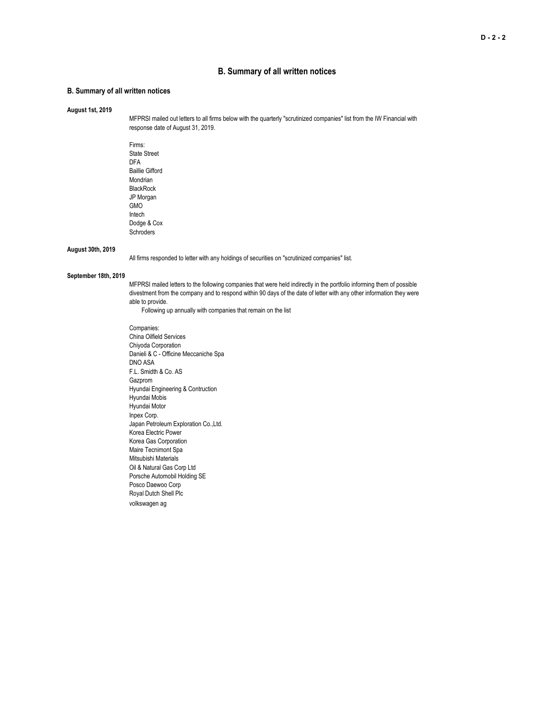## **B. Summary of all written notices**

### **B. Summary of all written notices**

### **August 1st, 2019**

MFPRSI mailed out letters to all firms below with the quarterly "scrutinized companies" list from the IW Financial with response date of August 31, 2019.

Firms: State Street DFA Baillie Gifford Mondrian BlackRock JP Morgan GMO Intech Dodge & Cox Schroders

### **August 30th, 2019**

All firms responded to letter with any holdings of securities on "scrutinized companies" list.

## **September 18th, 2019**

MFPRSI mailed letters to the following companies that were held indirectly in the portfolio informing them of possible divestment from the company and to respond within 90 days of the date of letter with any other information they were able to provide.

Following up annually with companies that remain on the list

Companies: China Oilfield Services Chiyoda Corporation Danieli & C - Officine Meccaniche Spa DNO ASA F.L. Smidth & Co. AS Gazprom Hyundai Engineering & Contruction Hyundai Mobis Hyundai Motor Inpex Corp. Japan Petroleum Exploration Co.,Ltd. Korea Electric Power Korea Gas Corporation Maire Tecnimont Spa Mitsubishi Materials Oil & Natural Gas Corp Ltd Porsche Automobil Holding SE Posco Daewoo Corp Royal Dutch Shell Plc volkswagen ag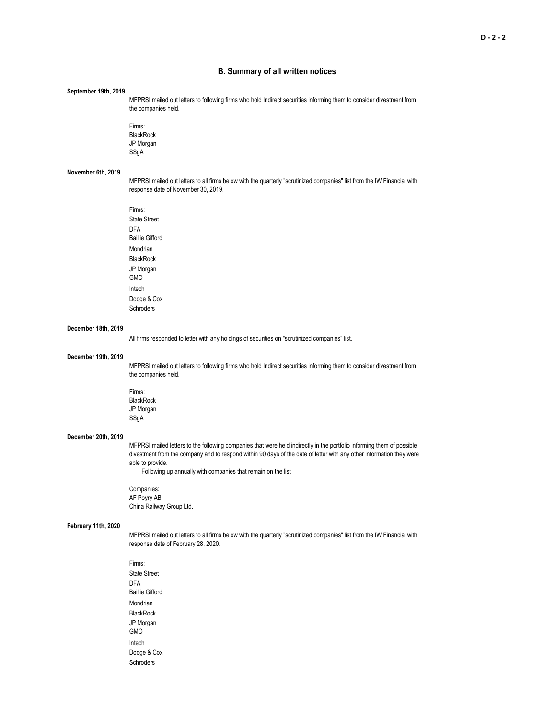## **B. Summary of all written notices**

#### **September 19th, 2019**

MFPRSI mailed out letters to following firms who hold Indirect securities informing them to consider divestment from the companies held.

Firms: **BlackRock** JP Morgan SSgA

#### **November 6th, 2019**

MFPRSI mailed out letters to all firms below with the quarterly "scrutinized companies" list from the IW Financial with response date of November 30, 2019.

Firms: State Street DFA Baillie Gifford Mondrian **BlackRock** JP Morgan GMO Intech Dodge & Cox Schroders

#### **December 18th, 2019**

All firms responded to letter with any holdings of securities on "scrutinized companies" list.

#### **December 19th, 2019**

MFPRSI mailed out letters to following firms who hold Indirect securities informing them to consider divestment from the companies held.

Firms: BlackRock JP Morgan SSgA

## **December 20th, 2019**

MFPRSI mailed letters to the following companies that were held indirectly in the portfolio informing them of possible divestment from the company and to respond within 90 days of the date of letter with any other information they were able to provide.

Following up annually with companies that remain on the list

Companies: AF Poyry AB China Railway Group Ltd.

### **February 11th, 2020**

MFPRSI mailed out letters to all firms below with the quarterly "scrutinized companies" list from the IW Financial with response date of February 28, 2020.

Firms: State Street DFA Baillie Gifford Mondrian BlackRock JP Morgan GMO Intech Dodge & Cox Schroders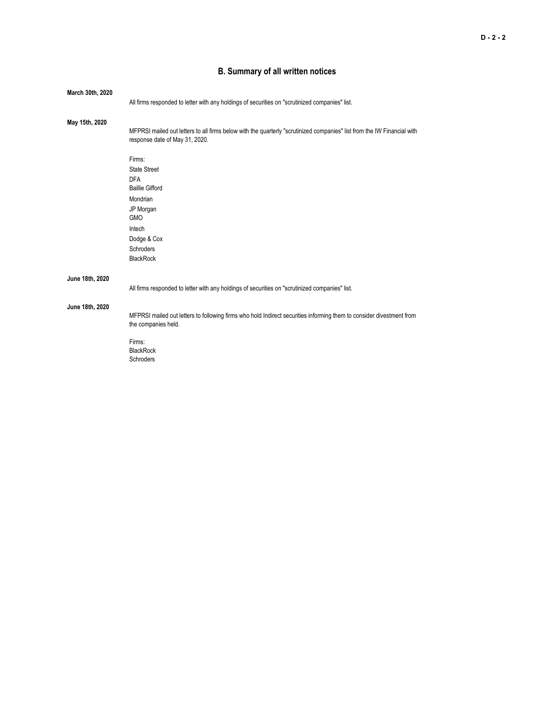# **B. Summary of all written notices**

| March 30th, 2020 |                                                                                                                                                           |  |
|------------------|-----------------------------------------------------------------------------------------------------------------------------------------------------------|--|
|                  | All firms responded to letter with any holdings of securities on "scrutinized companies" list.                                                            |  |
| May 15th, 2020   |                                                                                                                                                           |  |
|                  | MFPRSI mailed out letters to all firms below with the quarterly "scrutinized companies" list from the IW Financial with<br>response date of May 31, 2020. |  |
|                  | Firms:                                                                                                                                                    |  |
|                  | <b>State Street</b>                                                                                                                                       |  |
|                  | <b>DFA</b><br><b>Baillie Gifford</b>                                                                                                                      |  |
|                  | Mondrian                                                                                                                                                  |  |
|                  |                                                                                                                                                           |  |
|                  | JP Morgan<br><b>GMO</b>                                                                                                                                   |  |
|                  | Intech                                                                                                                                                    |  |
|                  | Dodge & Cox                                                                                                                                               |  |
|                  | Schroders                                                                                                                                                 |  |
|                  | <b>BlackRock</b>                                                                                                                                          |  |
| June 18th, 2020  |                                                                                                                                                           |  |
|                  | All firms responded to letter with any holdings of securities on "scrutinized companies" list.                                                            |  |
| June 18th, 2020  |                                                                                                                                                           |  |
|                  | MFPRSI mailed out letters to following firms who hold Indirect securities informing them to consider divestment from<br>the companies held.               |  |
|                  | Firms:<br><b>BlackRock</b><br>Schroders                                                                                                                   |  |